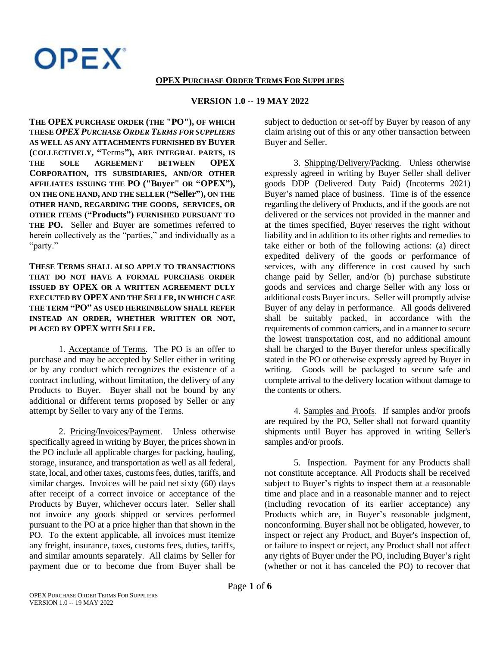**OPEX** 

## **OPEX PURCHASE ORDER TERMS FOR SUPPLIERS**

## **VERSION 1.0 -- 19 MAY 2022**

**THE OPEX PURCHASE ORDER (THE "PO"), OF WHICH THESE** *OPEX PURCHASE ORDER TERMS FOR SUPPLIERS* **AS WELL AS ANY ATTACHMENTS FURNISHED BY BUYER (COLLECTIVELY, "**Terms**"), ARE INTEGRAL PARTS, IS THE SOLE AGREEMENT BETWEEN OPEX CORPORATION, ITS SUBSIDIARIES, AND/OR OTHER AFFILIATES ISSUING THE PO ("Buyer" OR "OPEX"), ON THE ONE HAND, AND THE SELLER ("Seller"), ON THE OTHER HAND, REGARDING THE GOODS, SERVICES, OR OTHER ITEMS ("Products") FURNISHED PURSUANT TO THE PO.** Seller and Buyer are sometimes referred to herein collectively as the "parties," and individually as a "party."

**THESE TERMS SHALL ALSO APPLY TO TRANSACTIONS THAT DO NOT HAVE A FORMAL PURCHASE ORDER ISSUED BY OPEX OR A WRITTEN AGREEMENT DULY EXECUTED BY OPEX AND THE SELLER, IN WHICH CASE THE TERM "PO" AS USED HEREINBELOW SHALL REFER INSTEAD AN ORDER, WHETHER WRITTEN OR NOT, PLACED BY OPEX WITH SELLER.**

1. Acceptance of Terms. The PO is an offer to purchase and may be accepted by Seller either in writing or by any conduct which recognizes the existence of a contract including, without limitation, the delivery of any Products to Buyer. Buyer shall not be bound by any additional or different terms proposed by Seller or any attempt by Seller to vary any of the Terms.

2. Pricing/Invoices/Payment. Unless otherwise specifically agreed in writing by Buyer, the prices shown in the PO include all applicable charges for packing, hauling, storage, insurance, and transportation as well as all federal, state, local, and other taxes, customs fees, duties, tariffs, and similar charges. Invoices will be paid net sixty (60) days after receipt of a correct invoice or acceptance of the Products by Buyer, whichever occurs later. Seller shall not invoice any goods shipped or services performed pursuant to the PO at a price higher than that shown in the PO. To the extent applicable, all invoices must itemize any freight, insurance, taxes, customs fees, duties, tariffs, and similar amounts separately. All claims by Seller for payment due or to become due from Buyer shall be subject to deduction or set-off by Buyer by reason of any claim arising out of this or any other transaction between Buyer and Seller.

3. Shipping/Delivery/Packing. Unless otherwise expressly agreed in writing by Buyer Seller shall deliver goods DDP (Delivered Duty Paid) (Incoterms 2021) Buyer's named place of business. Time is of the essence regarding the delivery of Products, and if the goods are not delivered or the services not provided in the manner and at the times specified, Buyer reserves the right without liability and in addition to its other rights and remedies to take either or both of the following actions: (a) direct expedited delivery of the goods or performance of services, with any difference in cost caused by such change paid by Seller, and/or (b) purchase substitute goods and services and charge Seller with any loss or additional costs Buyer incurs. Seller will promptly advise Buyer of any delay in performance. All goods delivered shall be suitably packed, in accordance with the requirements of common carriers, and in a manner to secure the lowest transportation cost, and no additional amount shall be charged to the Buyer therefor unless specifically stated in the PO or otherwise expressly agreed by Buyer in writing. Goods will be packaged to secure safe and complete arrival to the delivery location without damage to the contents or others.

4. Samples and Proofs. If samples and/or proofs are required by the PO, Seller shall not forward quantity shipments until Buyer has approved in writing Seller's samples and/or proofs.

5. Inspection. Payment for any Products shall not constitute acceptance. All Products shall be received subject to Buyer's rights to inspect them at a reasonable time and place and in a reasonable manner and to reject (including revocation of its earlier acceptance) any Products which are, in Buyer's reasonable judgment, nonconforming. Buyer shall not be obligated, however, to inspect or reject any Product, and Buyer's inspection of, or failure to inspect or reject, any Product shall not affect any rights of Buyer under the PO, including Buyer's right (whether or not it has canceled the PO) to recover that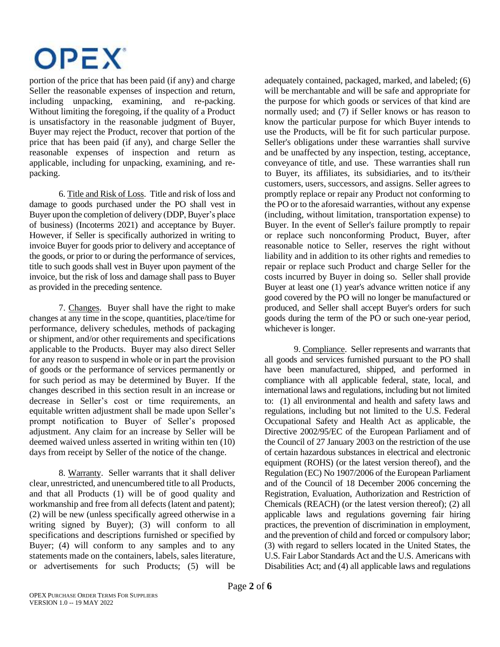

portion of the price that has been paid (if any) and charge Seller the reasonable expenses of inspection and return, including unpacking, examining, and re-packing. Without limiting the foregoing, if the quality of a Product is unsatisfactory in the reasonable judgment of Buyer, Buyer may reject the Product, recover that portion of the price that has been paid (if any), and charge Seller the reasonable expenses of inspection and return as applicable, including for unpacking, examining, and repacking.

6. Title and Risk of Loss. Title and risk of loss and damage to goods purchased under the PO shall vest in Buyer upon the completion of delivery (DDP, Buyer's place of business) (Incoterms 2021) and acceptance by Buyer. However, if Seller is specifically authorized in writing to invoice Buyer for goods prior to delivery and acceptance of the goods, or prior to or during the performance of services, title to such goods shall vest in Buyer upon payment of the invoice, but the risk of loss and damage shall pass to Buyer as provided in the preceding sentence.

7. Changes. Buyer shall have the right to make changes at any time in the scope, quantities, place/time for performance, delivery schedules, methods of packaging or shipment, and/or other requirements and specifications applicable to the Products. Buyer may also direct Seller for any reason to suspend in whole or in part the provision of goods or the performance of services permanently or for such period as may be determined by Buyer. If the changes described in this section result in an increase or decrease in Seller's cost or time requirements, an equitable written adjustment shall be made upon Seller's prompt notification to Buyer of Seller's proposed adjustment. Any claim for an increase by Seller will be deemed waived unless asserted in writing within ten (10) days from receipt by Seller of the notice of the change.

8. Warranty. Seller warrants that it shall deliver clear, unrestricted, and unencumbered title to all Products, and that all Products (1) will be of good quality and workmanship and free from all defects (latent and patent); (2) will be new (unless specifically agreed otherwise in a writing signed by Buyer); (3) will conform to all specifications and descriptions furnished or specified by Buyer: (4) will conform to any samples and to any statements made on the containers, labels, sales literature, or advertisements for such Products; (5) will be adequately contained, packaged, marked, and labeled; (6) will be merchantable and will be safe and appropriate for the purpose for which goods or services of that kind are normally used; and (7) if Seller knows or has reason to know the particular purpose for which Buyer intends to use the Products, will be fit for such particular purpose. Seller's obligations under these warranties shall survive and be unaffected by any inspection, testing, acceptance, conveyance of title, and use. These warranties shall run to Buyer, its affiliates, its subsidiaries, and to its/their customers, users, successors, and assigns. Seller agrees to promptly replace or repair any Product not conforming to the PO or to the aforesaid warranties, without any expense (including, without limitation, transportation expense) to Buyer. In the event of Seller's failure promptly to repair or replace such nonconforming Product, Buyer, after reasonable notice to Seller, reserves the right without liability and in addition to its other rights and remedies to repair or replace such Product and charge Seller for the costs incurred by Buyer in doing so. Seller shall provide Buyer at least one (1) year's advance written notice if any good covered by the PO will no longer be manufactured or produced, and Seller shall accept Buyer's orders for such goods during the term of the PO or such one-year period, whichever is longer.

9. Compliance. Seller represents and warrants that all goods and services furnished pursuant to the PO shall have been manufactured, shipped, and performed in compliance with all applicable federal, state, local, and international laws and regulations, including but not limited to: (1) all environmental and health and safety laws and regulations, including but not limited to the U.S. Federal Occupational Safety and Health Act as applicable, the Directive 2002/95/EC of the European Parliament and of the Council of 27 January 2003 on the restriction of the use of certain hazardous substances in electrical and electronic equipment (ROHS) (or the latest version thereof), and the Regulation (EC) No 1907/2006 of the European Parliament and of the Council of 18 December 2006 concerning the Registration, Evaluation, Authorization and Restriction of Chemicals (REACH) (or the latest version thereof); (2) all applicable laws and regulations governing fair hiring practices, the prevention of discrimination in employment, and the prevention of child and forced or compulsory labor; (3) with regard to sellers located in the United States, the U.S. Fair Labor Standards Act and the U.S. Americans with Disabilities Act; and (4) all applicable laws and regulations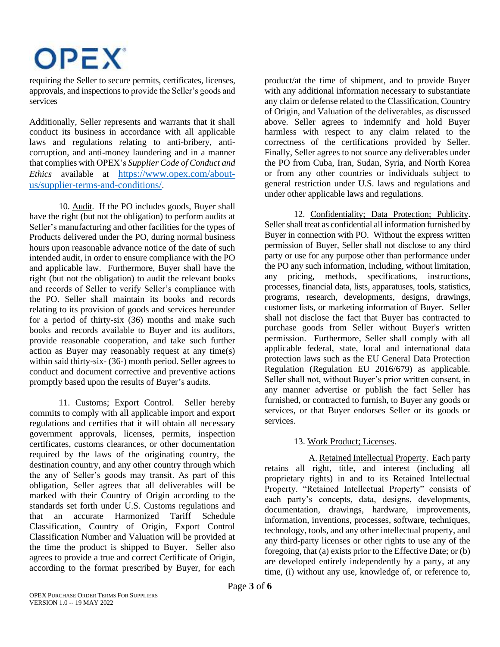

requiring the Seller to secure permits, certificates, licenses, approvals, and inspectionsto provide the Seller's goods and services

Additionally, Seller represents and warrants that it shall conduct its business in accordance with all applicable laws and regulations relating to anti-bribery, anticorruption, and anti-money laundering and in a manner that complies with OPEX's *Supplier Code of Conduct and Ethics* available at [https://www.opex.com/about](https://www.opex.com/about-us/supplier-terms-and-conditions/)[us/supplier-terms-and-conditions/](https://www.opex.com/about-us/supplier-terms-and-conditions/).

10. Audit. If the PO includes goods, Buyer shall have the right (but not the obligation) to perform audits at Seller's manufacturing and other facilities for the types of Products delivered under the PO, during normal business hours upon reasonable advance notice of the date of such intended audit, in order to ensure compliance with the PO and applicable law. Furthermore, Buyer shall have the right (but not the obligation) to audit the relevant books and records of Seller to verify Seller's compliance with the PO. Seller shall maintain its books and records relating to its provision of goods and services hereunder for a period of thirty-six (36) months and make such books and records available to Buyer and its auditors, provide reasonable cooperation, and take such further action as Buyer may reasonably request at any time(s) within said thirty-six- (36-) month period. Seller agrees to conduct and document corrective and preventive actions promptly based upon the results of Buyer's audits.

11. Customs; Export Control. Seller hereby commits to comply with all applicable import and export regulations and certifies that it will obtain all necessary government approvals, licenses, permits, inspection certificates, customs clearances, or other documentation required by the laws of the originating country, the destination country, and any other country through which the any of Seller's goods may transit. As part of this obligation, Seller agrees that all deliverables will be marked with their Country of Origin according to the standards set forth under U.S. Customs regulations and that an accurate Harmonized Tariff Schedule Classification, Country of Origin, Export Control Classification Number and Valuation will be provided at the time the product is shipped to Buyer. Seller also agrees to provide a true and correct Certificate of Origin, according to the format prescribed by Buyer, for each

product/at the time of shipment, and to provide Buyer with any additional information necessary to substantiate any claim or defense related to the Classification, Country of Origin, and Valuation of the deliverables, as discussed above. Seller agrees to indemnify and hold Buyer harmless with respect to any claim related to the correctness of the certifications provided by Seller. Finally, Seller agrees to not source any deliverables under the PO from Cuba, Iran, Sudan, Syria, and North Korea or from any other countries or individuals subject to general restriction under U.S. laws and regulations and under other applicable laws and regulations.

12. Confidentiality; Data Protection; Publicity. Seller shall treat as confidential all information furnished by Buyer in connection with PO. Without the express written permission of Buyer, Seller shall not disclose to any third party or use for any purpose other than performance under the PO any such information, including, without limitation, any pricing, methods, specifications, instructions, processes, financial data, lists, apparatuses, tools, statistics, programs, research, developments, designs, drawings, customer lists, or marketing information of Buyer. Seller shall not disclose the fact that Buyer has contracted to purchase goods from Seller without Buyer's written permission. Furthermore, Seller shall comply with all applicable federal, state, local and international data protection laws such as the EU General Data Protection Regulation (Regulation EU 2016/679) as applicable. Seller shall not, without Buyer's prior written consent, in any manner advertise or publish the fact Seller has furnished, or contracted to furnish, to Buyer any goods or services, or that Buyer endorses Seller or its goods or services.

## 13. Work Product; Licenses.

A. Retained Intellectual Property. Each party retains all right, title, and interest (including all proprietary rights) in and to its Retained Intellectual Property. "Retained Intellectual Property" consists of each party's concepts, data, designs, developments, documentation, drawings, hardware, improvements, information, inventions, processes, software, techniques, technology, tools, and any other intellectual property, and any third-party licenses or other rights to use any of the foregoing, that (a) exists prior to the Effective Date; or (b) are developed entirely independently by a party, at any time, (i) without any use, knowledge of, or reference to,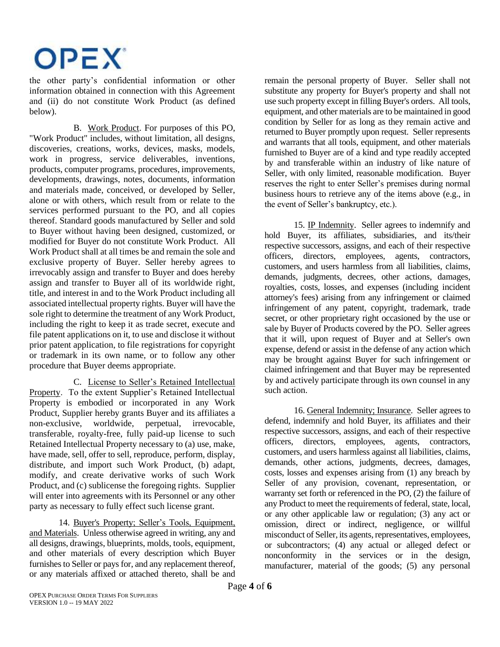

the other party's confidential information or other information obtained in connection with this Agreement and (ii) do not constitute Work Product (as defined below).

B. Work Product. For purposes of this PO, "Work Product" includes, without limitation, all designs, discoveries, creations, works, devices, masks, models, work in progress, service deliverables, inventions, products, computer programs, procedures, improvements, developments, drawings, notes, documents, information and materials made, conceived, or developed by Seller, alone or with others, which result from or relate to the services performed pursuant to the PO, and all copies thereof. Standard goods manufactured by Seller and sold to Buyer without having been designed, customized, or modified for Buyer do not constitute Work Product. All Work Product shall at all times be and remain the sole and exclusive property of Buyer. Seller hereby agrees to irrevocably assign and transfer to Buyer and does hereby assign and transfer to Buyer all of its worldwide right, title, and interest in and to the Work Product including all associated intellectual property rights. Buyer will have the sole right to determine the treatment of any Work Product, including the right to keep it as trade secret, execute and file patent applications on it, to use and disclose it without prior patent application, to file registrations for copyright or trademark in its own name, or to follow any other procedure that Buyer deems appropriate.

C. License to Seller's Retained Intellectual Property. To the extent Supplier's Retained Intellectual Property is embodied or incorporated in any Work Product, Supplier hereby grants Buyer and its affiliates a non-exclusive, worldwide, perpetual, irrevocable, transferable, royalty-free, fully paid-up license to such Retained Intellectual Property necessary to (a) use, make, have made, sell, offer to sell, reproduce, perform, display, distribute, and import such Work Product, (b) adapt, modify, and create derivative works of such Work Product, and (c) sublicense the foregoing rights. Supplier will enter into agreements with its Personnel or any other party as necessary to fully effect such license grant.

14. Buyer's Property; Seller's Tools, Equipment, and Materials. Unless otherwise agreed in writing, any and all designs, drawings, blueprints, molds, tools, equipment, and other materials of every description which Buyer furnishes to Seller or pays for, and any replacement thereof, or any materials affixed or attached thereto, shall be and remain the personal property of Buyer. Seller shall not substitute any property for Buyer's property and shall not use such property except in filling Buyer's orders. All tools, equipment, and other materials are to be maintained in good condition by Seller for as long as they remain active and returned to Buyer promptly upon request. Seller represents and warrants that all tools, equipment, and other materials furnished to Buyer are of a kind and type readily accepted by and transferable within an industry of like nature of Seller, with only limited, reasonable modification. Buyer reserves the right to enter Seller's premises during normal business hours to retrieve any of the items above (e.g., in the event of Seller's bankruptcy, etc.).

15. IP Indemnity. Seller agrees to indemnify and hold Buyer, its affiliates, subsidiaries, and its/their respective successors, assigns, and each of their respective officers, directors, employees, agents, contractors, customers, and users harmless from all liabilities, claims, demands, judgments, decrees, other actions, damages, royalties, costs, losses, and expenses (including incident attorney's fees) arising from any infringement or claimed infringement of any patent, copyright, trademark, trade secret, or other proprietary right occasioned by the use or sale by Buyer of Products covered by the PO. Seller agrees that it will, upon request of Buyer and at Seller's own expense, defend or assist in the defense of any action which may be brought against Buyer for such infringement or claimed infringement and that Buyer may be represented by and actively participate through its own counsel in any such action.

16. General Indemnity; Insurance. Seller agrees to defend, indemnify and hold Buyer, its affiliates and their respective successors, assigns, and each of their respective officers, directors, employees, agents, contractors, customers, and users harmless against all liabilities, claims, demands, other actions, judgments, decrees, damages, costs, losses and expenses arising from (1) any breach by Seller of any provision, covenant, representation, or warranty set forth or referenced in the PO, (2) the failure of any Product to meet the requirements of federal, state, local, or any other applicable law or regulation; (3) any act or omission, direct or indirect, negligence, or willful misconduct of Seller, its agents, representatives, employees, or subcontractors; (4) any actual or alleged defect or nonconformity in the services or in the design, manufacturer, material of the goods; (5) any personal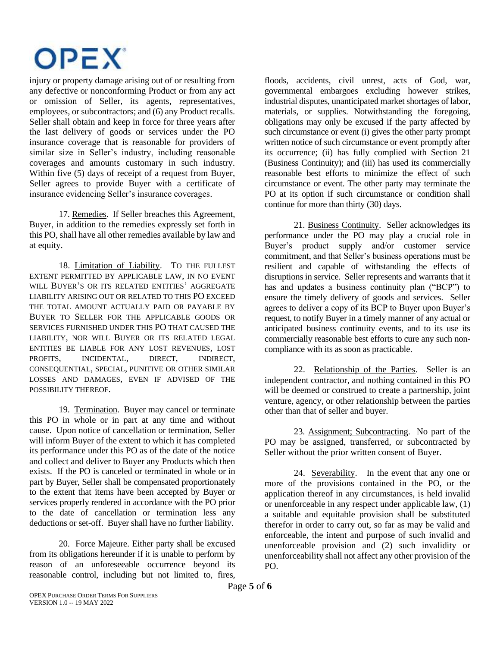

injury or property damage arising out of or resulting from any defective or nonconforming Product or from any act or omission of Seller, its agents, representatives, employees, or subcontractors; and (6) any Product recalls. Seller shall obtain and keep in force for three years after the last delivery of goods or services under the PO insurance coverage that is reasonable for providers of similar size in Seller's industry, including reasonable coverages and amounts customary in such industry. Within five (5) days of receipt of a request from Buyer, Seller agrees to provide Buyer with a certificate of insurance evidencing Seller's insurance coverages.

17. Remedies. If Seller breaches this Agreement, Buyer, in addition to the remedies expressly set forth in this PO, shall have all other remedies available by law and at equity.

18. Limitation of Liability. TO THE FULLEST EXTENT PERMITTED BY APPLICABLE LAW, IN NO EVENT WILL BUYER'S OR ITS RELATED ENTITIES' AGGREGATE LIABILITY ARISING OUT OR RELATED TO THIS PO EXCEED THE TOTAL AMOUNT ACTUALLY PAID OR PAYABLE BY BUYER TO SELLER FOR THE APPLICABLE GOODS OR SERVICES FURNISHED UNDER THIS PO THAT CAUSED THE LIABILITY, NOR WILL BUYER OR ITS RELATED LEGAL ENTITIES BE LIABLE FOR ANY LOST REVENUES, LOST PROFITS, INCIDENTAL, DIRECT, INDIRECT, CONSEQUENTIAL, SPECIAL, PUNITIVE OR OTHER SIMILAR LOSSES AND DAMAGES, EVEN IF ADVISED OF THE POSSIBILITY THEREOF.

19. Termination. Buyer may cancel or terminate this PO in whole or in part at any time and without cause. Upon notice of cancellation or termination, Seller will inform Buyer of the extent to which it has completed its performance under this PO as of the date of the notice and collect and deliver to Buyer any Products which then exists. If the PO is canceled or terminated in whole or in part by Buyer, Seller shall be compensated proportionately to the extent that items have been accepted by Buyer or services properly rendered in accordance with the PO prior to the date of cancellation or termination less any deductions or set-off. Buyer shall have no further liability.

20. Force Majeure. Either party shall be excused from its obligations hereunder if it is unable to perform by reason of an unforeseeable occurrence beyond its reasonable control, including but not limited to, fires,

floods, accidents, civil unrest, acts of God, war, governmental embargoes excluding however strikes, industrial disputes, unanticipated market shortages of labor, materials, or supplies. Notwithstanding the foregoing, obligations may only be excused if the party affected by such circumstance or event (i) gives the other party prompt written notice of such circumstance or event promptly after its occurrence; (ii) has fully complied with Section 21 (Business Continuity); and (iii) has used its commercially reasonable best efforts to minimize the effect of such circumstance or event. The other party may terminate the PO at its option if such circumstance or condition shall continue for more than thirty (30) days.

21. Business Continuity. Seller acknowledges its performance under the PO may play a crucial role in Buyer's product supply and/or customer service commitment, and that Seller's business operations must be resilient and capable of withstanding the effects of disruptions in service. Seller represents and warrants that it has and updates a business continuity plan ("BCP") to ensure the timely delivery of goods and services. Seller agrees to deliver a copy of its BCP to Buyer upon Buyer's request, to notify Buyer in a timely manner of any actual or anticipated business continuity events, and to its use its commercially reasonable best efforts to cure any such noncompliance with its as soon as practicable.

22. Relationship of the Parties. Seller is an independent contractor, and nothing contained in this PO will be deemed or construed to create a partnership, joint venture, agency, or other relationship between the parties other than that of seller and buyer.

23. Assignment; Subcontracting. No part of the PO may be assigned, transferred, or subcontracted by Seller without the prior written consent of Buyer.

24.Severability. In the event that any one or more of the provisions contained in the PO, or the application thereof in any circumstances, is held invalid or unenforceable in any respect under applicable law, (1) a suitable and equitable provision shall be substituted therefor in order to carry out, so far as may be valid and enforceable, the intent and purpose of such invalid and unenforceable provision and (2) such invalidity or unenforceability shall not affect any other provision of the PO.